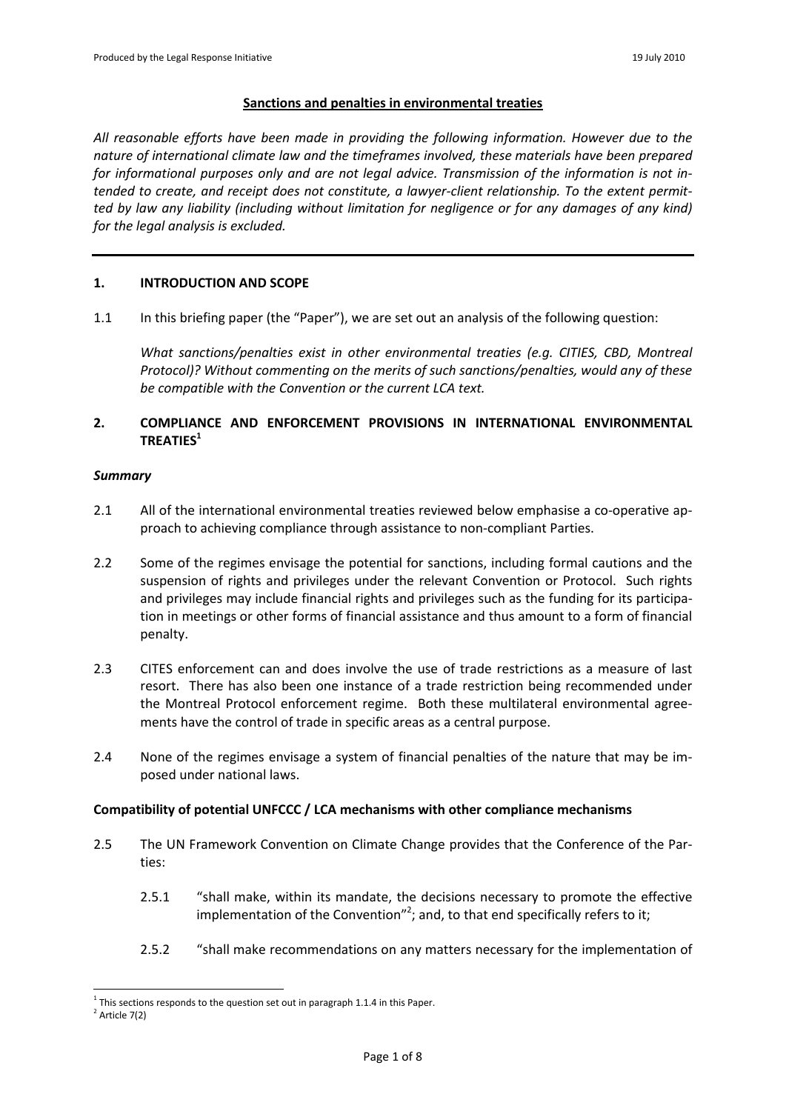### **Sanctions and penalties in environmental treaties**

*All reasonable efforts have been made in providing the following information. However due to the nature of international climate law and the timeframes involved, these materials have been prepared for informational purposes only and are not legal advice. Transmission of the information is not intended to create, and receipt does not constitute, a lawyer-client relationship. To the extent permitted by law any liability (including without limitation for negligence or for any damages of any kind) for the legal analysis is excluded.*

#### **1. INTRODUCTION AND SCOPE**

1.1 In this briefing paper (the "Paper"), we are set out an analysis of the following question:

*What sanctions/penalties exist in other environmental treaties (e.g. CITIES, CBD, Montreal Protocol)? Without commenting on the merits of such sanctions/penalties, would any of these be compatible with the Convention or the current LCA text.*

# **2. COMPLIANCE AND ENFORCEMENT PROVISIONS IN INTERNATIONAL ENVIRONMENTAL TREATIES<sup>1</sup>**

### *Summary*

- 2.1 All of the international environmental treaties reviewed below emphasise a co-operative approach to achieving compliance through assistance to non-compliant Parties.
- 2.2 Some of the regimes envisage the potential for sanctions, including formal cautions and the suspension of rights and privileges under the relevant Convention or Protocol. Such rights and privileges may include financial rights and privileges such as the funding for its participation in meetings or other forms of financial assistance and thus amount to a form of financial penalty.
- 2.3 CITES enforcement can and does involve the use of trade restrictions as a measure of last resort. There has also been one instance of a trade restriction being recommended under the Montreal Protocol enforcement regime. Both these multilateral environmental agreements have the control of trade in specific areas as a central purpose.
- 2.4 None of the regimes envisage a system of financial penalties of the nature that may be imposed under national laws.

## **Compatibility of potential UNFCCC / LCA mechanisms with other compliance mechanisms**

- 2.5 The UN Framework Convention on Climate Change provides that the Conference of the Parties:
	- 2.5.1 "shall make, within its mandate, the decisions necessary to promote the effective implementation of the Convention"<sup>2</sup>; and, to that end specifically refers to it;
	- 2.5.2 "shall make recommendations on any matters necessary for the implementation of

 $1$  This sections responds to the question set out in paragraph 1.1.4 in this Paper.

 $2$  Article 7(2)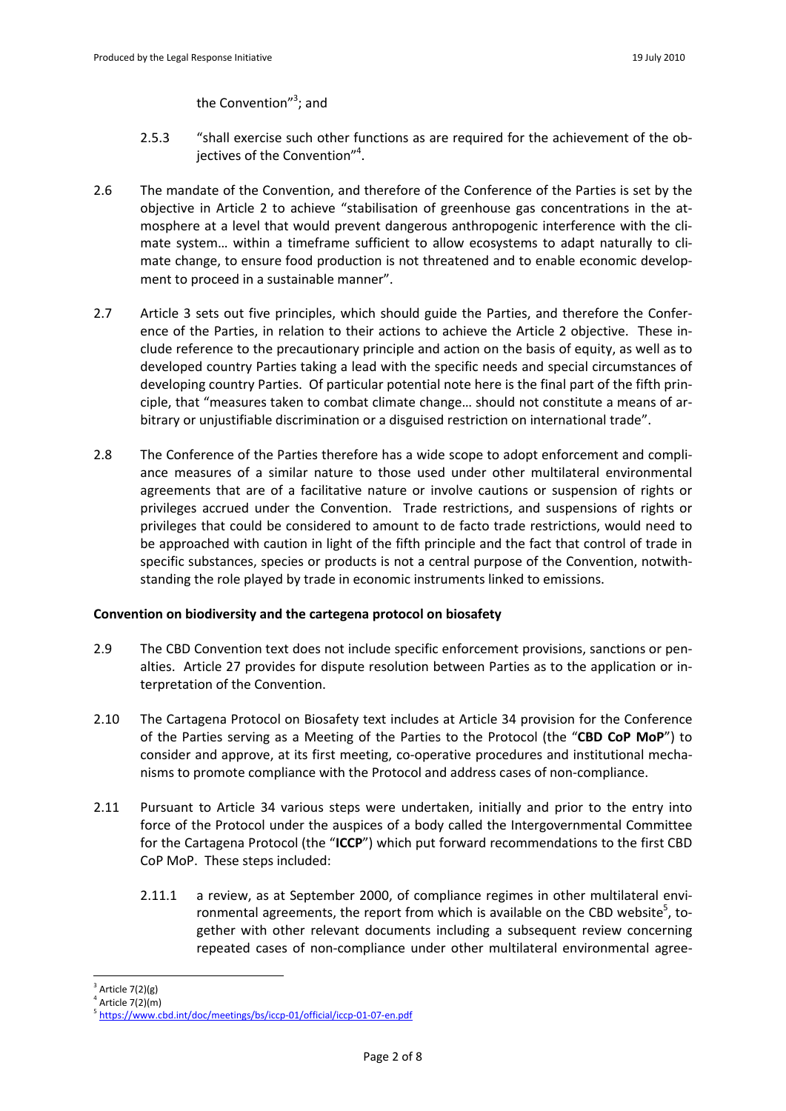the Convention"<sup>3</sup>; and

- 2.5.3 "shall exercise such other functions as are required for the achievement of the objectives of the Convention"<sup>4</sup>.
- 2.6 The mandate of the Convention, and therefore of the Conference of the Parties is set by the objective in Article 2 to achieve "stabilisation of greenhouse gas concentrations in the atmosphere at a level that would prevent dangerous anthropogenic interference with the climate system… within a timeframe sufficient to allow ecosystems to adapt naturally to climate change, to ensure food production is not threatened and to enable economic development to proceed in a sustainable manner".
- 2.7 Article 3 sets out five principles, which should guide the Parties, and therefore the Conference of the Parties, in relation to their actions to achieve the Article 2 objective. These include reference to the precautionary principle and action on the basis of equity, as well as to developed country Parties taking a lead with the specific needs and special circumstances of developing country Parties. Of particular potential note here is the final part of the fifth principle, that "measures taken to combat climate change… should not constitute a means of arbitrary or unjustifiable discrimination or a disguised restriction on international trade".
- 2.8 The Conference of the Parties therefore has a wide scope to adopt enforcement and compliance measures of a similar nature to those used under other multilateral environmental agreements that are of a facilitative nature or involve cautions or suspension of rights or privileges accrued under the Convention. Trade restrictions, and suspensions of rights or privileges that could be considered to amount to de facto trade restrictions, would need to be approached with caution in light of the fifth principle and the fact that control of trade in specific substances, species or products is not a central purpose of the Convention, notwithstanding the role played by trade in economic instruments linked to emissions.

## **Convention on biodiversity and the cartegena protocol on biosafety**

- 2.9 The CBD Convention text does not include specific enforcement provisions, sanctions or penalties. Article 27 provides for dispute resolution between Parties as to the application or interpretation of the Convention.
- 2.10 The Cartagena Protocol on Biosafety text includes at Article 34 provision for the Conference of the Parties serving as a Meeting of the Parties to the Protocol (the "**CBD CoP MoP**") to consider and approve, at its first meeting, co-operative procedures and institutional mechanisms to promote compliance with the Protocol and address cases of non-compliance.
- 2.11 Pursuant to Article 34 various steps were undertaken, initially and prior to the entry into force of the Protocol under the auspices of a body called the Intergovernmental Committee for the Cartagena Protocol (the "**ICCP**") which put forward recommendations to the first CBD CoP MoP. These steps included:
	- 2.11.1 a review, as at September 2000, of compliance regimes in other multilateral environmental agreements, the report from which is available on the CBD website<sup>5</sup>, together with other relevant documents including a subsequent review concerning repeated cases of non-compliance under other multilateral environmental agree-

<sup>-</sup>3 Article 7(2)(g)

<sup>4</sup> Article 7(2)(m)

<sup>5</sup> [https://w](https://www.cbd.int)[ww.cbd.int](www.cbd.int)/doc/meetings/bs/iccp-01/official/iccp-01-07-en.pdf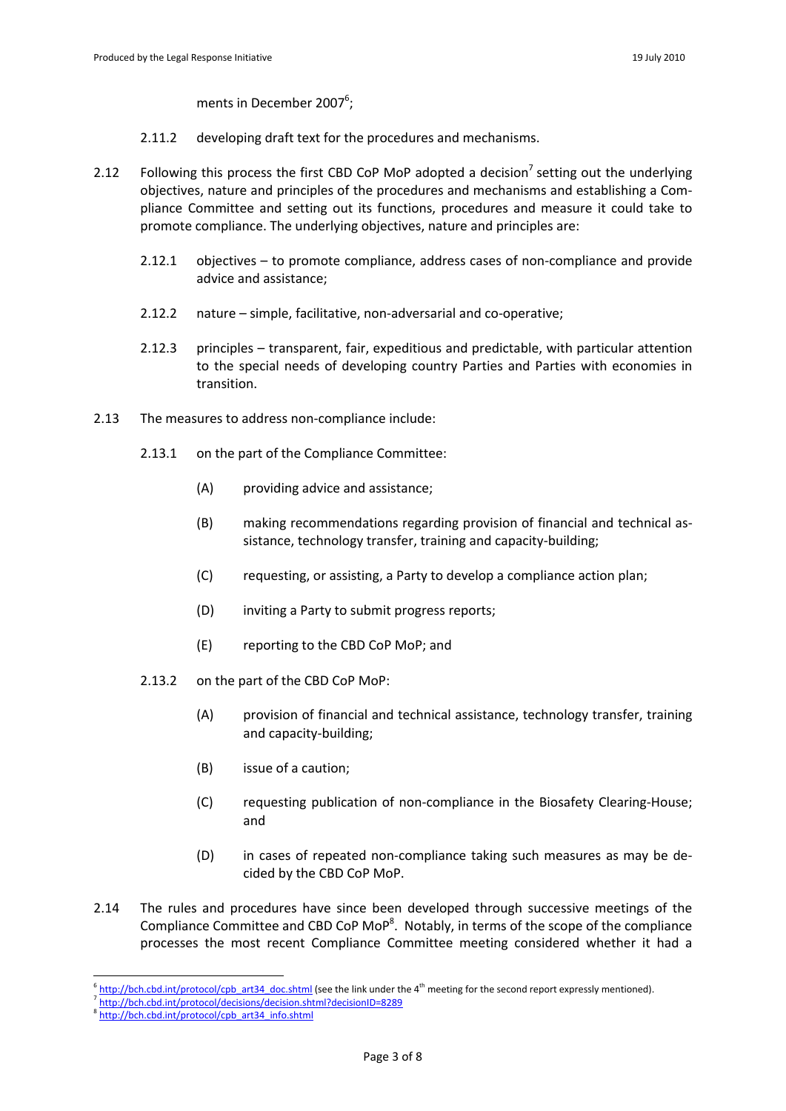ments in December 2007<sup>6</sup>;

- 2.11.2 developing draft text for the procedures and mechanisms.
- 2.12 Following this process the first CBD CoP MoP adopted a decision<sup>7</sup> setting out the underlying objectives, nature and principles of the procedures and mechanisms and establishing a Compliance Committee and setting out its functions, procedures and measure it could take to promote compliance. The underlying objectives, nature and principles are:
	- 2.12.1 objectives to promote compliance, address cases of non-compliance and provide advice and assistance;
	- 2.12.2 nature simple, facilitative, non-adversarial and co-operative;
	- 2.12.3 principles transparent, fair, expeditious and predictable, with particular attention to the special needs of developing country Parties and Parties with economies in transition.
- 2.13 The measures to address non-compliance include:
	- 2.13.1 on the part of the Compliance Committee:
		- (A) providing advice and assistance;
		- (B) making recommendations regarding provision of financial and technical assistance, technology transfer, training and capacity-building;
		- (C) requesting, or assisting, a Party to develop a compliance action plan;
		- (D) inviting a Party to submit progress reports;
		- (E) reporting to the CBD CoP MoP; and
	- 2.13.2 on the part of the CBD CoP MoP:
		- (A) provision of financial and technical assistance, technology transfer, training and capacity-building;
		- (B) issue of a caution;
		- (C) requesting publication of non-compliance in the Biosafety Clearing-House; and
		- (D) in cases of repeated non-compliance taking such measures as may be decided by the CBD CoP MoP.
- 2.14 The rules and procedures have since been developed through successive meetings of the Compliance Committee and CBD CoP MoP<sup>8</sup>. Notably, in terms of the scope of the compliance processes the most recent Compliance Committee meeting considered whether it had a

<sup>6</sup> [http://bch.cbd.int/protocol/cpb\\_art34\\_doc.shtml](http://bch.cbd.int/protocol/cpb_art34_doc.shtml) (see the link under the 4<sup>th</sup> meeting for the second report expressly mentioned).

<sup>7</sup> [http://bch.cbd.int/protocol/decisions/decision.shtml?decisionID=8](http://bch.cbd.int/protocol/decisions/decision.shtml?decisionID=)289

<sup>8</sup> [http://bch.cbd.int/protocol/cpb\\_art34\\_i](http://bch.cbd.int/protocol/cpb_art34_i)nfo.shtml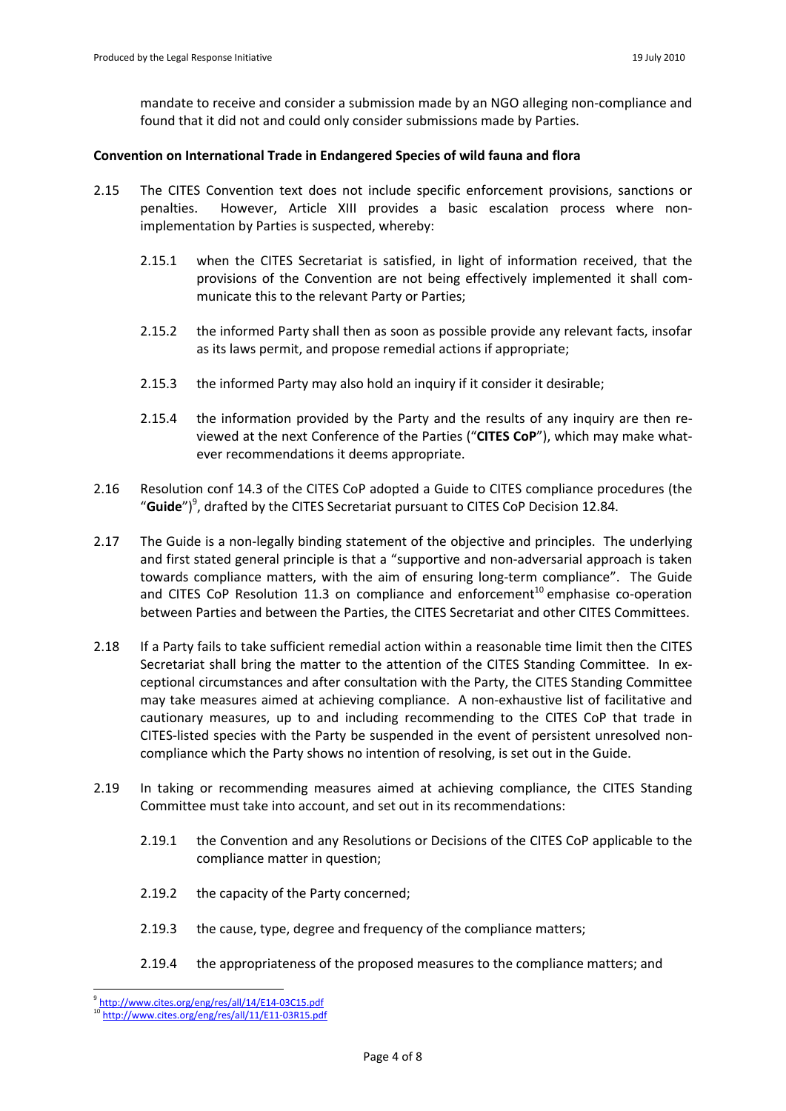mandate to receive and consider a submission made by an NGO alleging non-compliance and found that it did not and could only consider submissions made by Parties.

### **Convention on International Trade in Endangered Species of wild fauna and flora**

- 2.15 The CITES Convention text does not include specific enforcement provisions, sanctions or penalties. However, Article XIII provides a basic escalation process where nonimplementation by Parties is suspected, whereby:
	- 2.15.1 when the CITES Secretariat is satisfied, in light of information received, that the provisions of the Convention are not being effectively implemented it shall communicate this to the relevant Party or Parties;
	- 2.15.2 the informed Party shall then as soon as possible provide any relevant facts, insofar as its laws permit, and propose remedial actions if appropriate;
	- 2.15.3 the informed Party may also hold an inquiry if it consider it desirable;
	- 2.15.4 the information provided by the Party and the results of any inquiry are then reviewed at the next Conference of the Parties ("**CITES CoP**"), which may make whatever recommendations it deems appropriate.
- 2.16 Resolution conf 14.3 of the CITES CoP adopted a Guide to CITES compliance procedures (the "**Guide**") 9 , drafted by the CITES Secretariat pursuant to CITES CoP Decision 12.84.
- 2.17 The Guide is a non-legally binding statement of the objective and principles. The underlying and first stated general principle is that a "supportive and non-adversarial approach is taken towards compliance matters, with the aim of ensuring long-term compliance". The Guide and CITES CoP Resolution 11.3 on compliance and enforcement<sup>10</sup> emphasise co-operation between Parties and between the Parties, the CITES Secretariat and other CITES Committees.
- 2.18 If a Party fails to take sufficient remedial action within a reasonable time limit then the CITES Secretariat shall bring the matter to the attention of the CITES Standing Committee. In exceptional circumstances and after consultation with the Party, the CITES Standing Committee may take measures aimed at achieving compliance. A non-exhaustive list of facilitative and cautionary measures, up to and including recommending to the CITES CoP that trade in CITES-listed species with the Party be suspended in the event of persistent unresolved noncompliance which the Party shows no intention of resolving, is set out in the Guide.
- 2.19 In taking or recommending measures aimed at achieving compliance, the CITES Standing Committee must take into account, and set out in its recommendations:
	- 2.19.1 the Convention and any Resolutions or Decisions of the CITES CoP applicable to the compliance matter in question;
	- 2.19.2 the capacity of the Party concerned;
	- 2.19.3 the cause, type, degree and frequency of the compliance matters;
	- 2.19.4 the appropriateness of the proposed measures to the compliance matters; and

<sup>&</sup>lt;sup>9</sup> [http://w](http://www.cites.org/eng/res/all/14/E14)[ww.cites.org/eng/res/all/14/E14](www.cites.org/eng/res/all/14/E14)-03C15.pdf

h[ttp://ww](http://www.cites.org/eng/res/all/11/E11)[w.cites.org/eng/res/all/11/E11-](www.cites.org/eng/res/all/11/E11)03R15.pdf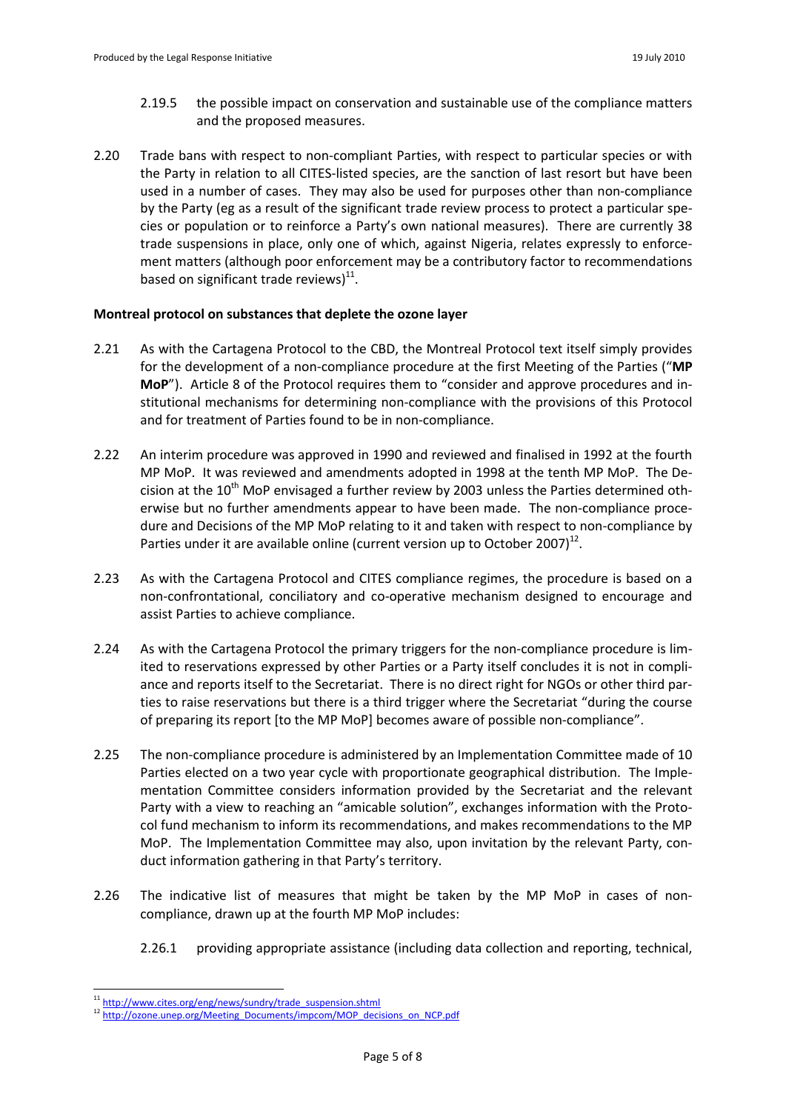- 2.19.5 the possible impact on conservation and sustainable use of the compliance matters and the proposed measures.
- 2.20 Trade bans with respect to non-compliant Parties, with respect to particular species or with the Party in relation to all CITES-listed species, are the sanction of last resort but have been used in a number of cases. They may also be used for purposes other than non-compliance by the Party (eg as a result of the significant trade review process to protect a particular species or population or to reinforce a Party's own national measures). There are currently 38 trade suspensions in place, only one of which, against Nigeria, relates expressly to enforcement matters (although poor enforcement may be a contributory factor to recommendations based on significant trade reviews) $^{11}$ .

# **Montreal protocol on substances that deplete the ozone layer**

- 2.21 As with the Cartagena Protocol to the CBD, the Montreal Protocol text itself simply provides for the development of a non-compliance procedure at the first Meeting of the Parties ("**MP MoP**"). Article 8 of the Protocol requires them to "consider and approve procedures and institutional mechanisms for determining non-compliance with the provisions of this Protocol and for treatment of Parties found to be in non-compliance.
- 2.22 An interim procedure was approved in 1990 and reviewed and finalised in 1992 at the fourth MP MoP. It was reviewed and amendments adopted in 1998 at the tenth MP MoP. The Decision at the  $10^{th}$  MoP envisaged a further review by 2003 unless the Parties determined otherwise but no further amendments appear to have been made. The non-compliance procedure and Decisions of the MP MoP relating to it and taken with respect to non-compliance by Parties under it are available online (current version up to October 2007)<sup>12</sup>.
- 2.23 As with the Cartagena Protocol and CITES compliance regimes, the procedure is based on a non-confrontational, conciliatory and co-operative mechanism designed to encourage and assist Parties to achieve compliance.
- 2.24 As with the Cartagena Protocol the primary triggers for the non-compliance procedure is limited to reservations expressed by other Parties or a Party itself concludes it is not in compliance and reports itself to the Secretariat. There is no direct right for NGOs or other third parties to raise reservations but there is a third trigger where the Secretariat "during the course of preparing its report [to the MP MoP] becomes aware of possible non-compliance".
- 2.25 The non-compliance procedure is administered by an Implementation Committee made of 10 Parties elected on a two year cycle with proportionate geographical distribution. The Implementation Committee considers information provided by the Secretariat and the relevant Party with a view to reaching an "amicable solution", exchanges information with the Protocol fund mechanism to inform its recommendations, and makes recommendations to the MP MoP. The Implementation Committee may also, upon invitation by the relevant Party, conduct information gathering in that Party's territory.
- 2.26 The indicative list of measures that might be taken by the MP MoP in cases of noncompliance, drawn up at the fourth MP MoP includes:
	- 2.26.1 providing appropriate assistance (including data collection and reporting, technical,

<sup>&</sup>lt;sup>11</sup> h[ttp://ww](http://www.cites.org/eng/news/sundry/trade_suspension.shtml)[w.cites.org/eng/news/sundry/trade\\_suspension.shtml](www.cites.org/eng/news/sundry/trade_suspension.shtml)

<sup>12</sup> h[ttp://ozone.unep.org/Meeting\\_](http://ozone.unep.org/Meeting_)Documents/impcom/MOP\_decisions\_on\_NCP.pdf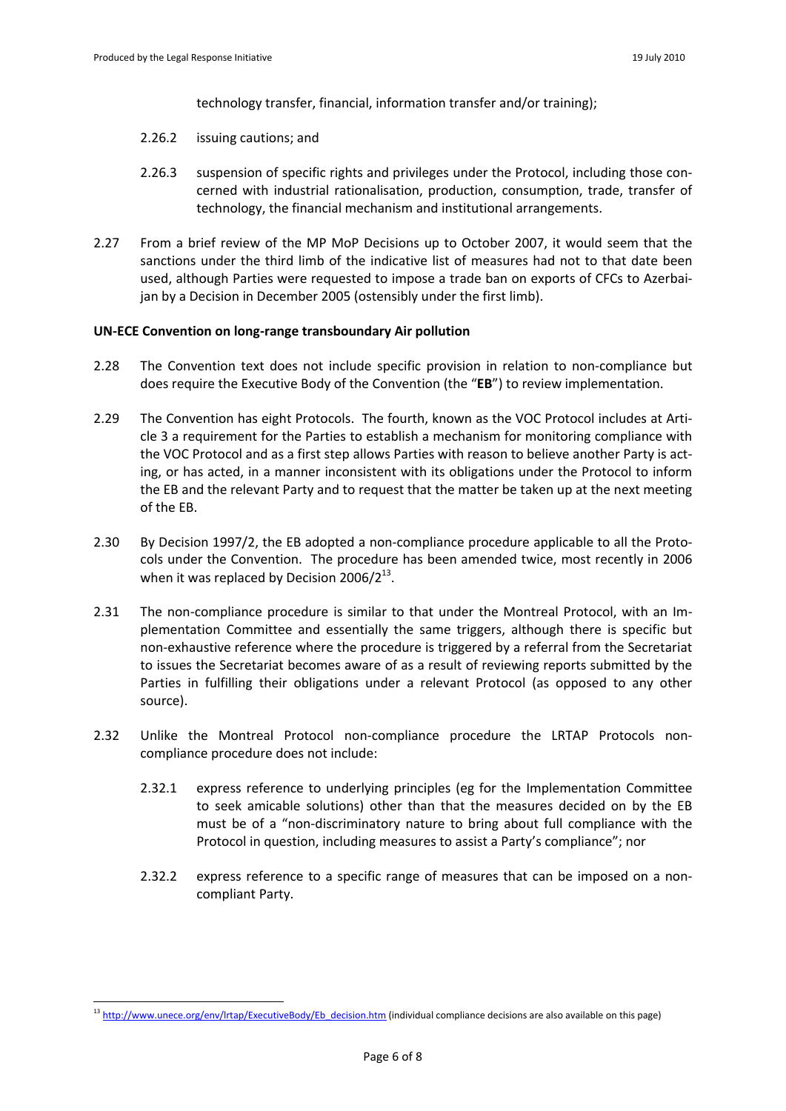-

technology transfer, financial, information transfer and/or training);

- 2.26.2 issuing cautions; and
- 2.26.3 suspension of specific rights and privileges under the Protocol, including those concerned with industrial rationalisation, production, consumption, trade, transfer of technology, the financial mechanism and institutional arrangements.
- 2.27 From a brief review of the MP MoP Decisions up to October 2007, it would seem that the sanctions under the third limb of the indicative list of measures had not to that date been used, although Parties were requested to impose a trade ban on exports of CFCs to Azerbaijan by a Decision in December 2005 (ostensibly under the first limb).

#### **UN-ECE Convention on long-range transboundary Air pollution**

- 2.28 The Convention text does not include specific provision in relation to non-compliance but does require the Executive Body of the Convention (the "**EB**") to review implementation.
- 2.29 The Convention has eight Protocols. The fourth, known as the VOC Protocol includes at Article 3 a requirement for the Parties to establish a mechanism for monitoring compliance with the VOC Protocol and as a first step allows Parties with reason to believe another Party is acting, or has acted, in a manner inconsistent with its obligations under the Protocol to inform the EB and the relevant Party and to request that the matter be taken up at the next meeting of the EB.
- 2.30 By Decision 1997/2, the EB adopted a non-compliance procedure applicable to all the Protocols under the Convention. The procedure has been amended twice, most recently in 2006 when it was replaced by Decision 2006/2 $^{13}$ .
- 2.31 The non-compliance procedure is similar to that under the Montreal Protocol, with an Implementation Committee and essentially the same triggers, although there is specific but non-exhaustive reference where the procedure is triggered by a referral from the Secretariat to issues the Secretariat becomes aware of as a result of reviewing reports submitted by the Parties in fulfilling their obligations under a relevant Protocol (as opposed to any other source).
- 2.32 Unlike the Montreal Protocol non-compliance procedure the LRTAP Protocols noncompliance procedure does not include:
	- 2.32.1 express reference to underlying principles (eg for the Implementation Committee to seek amicable solutions) other than that the measures decided on by the EB must be of a "non-discriminatory nature to bring about full compliance with the Protocol in question, including measures to assist a Party's compliance"; nor
	- 2.32.2 express reference to a specific range of measures that can be imposed on a noncompliant Party.

<sup>&</sup>lt;sup>13</sup> h[ttp://ww](http://www.unece.org/env/lrtap/E)w.unece.org/env/Irtap/ExecutiveBody/Eb\_decision.htm (individual compliance decisions are also available on this page)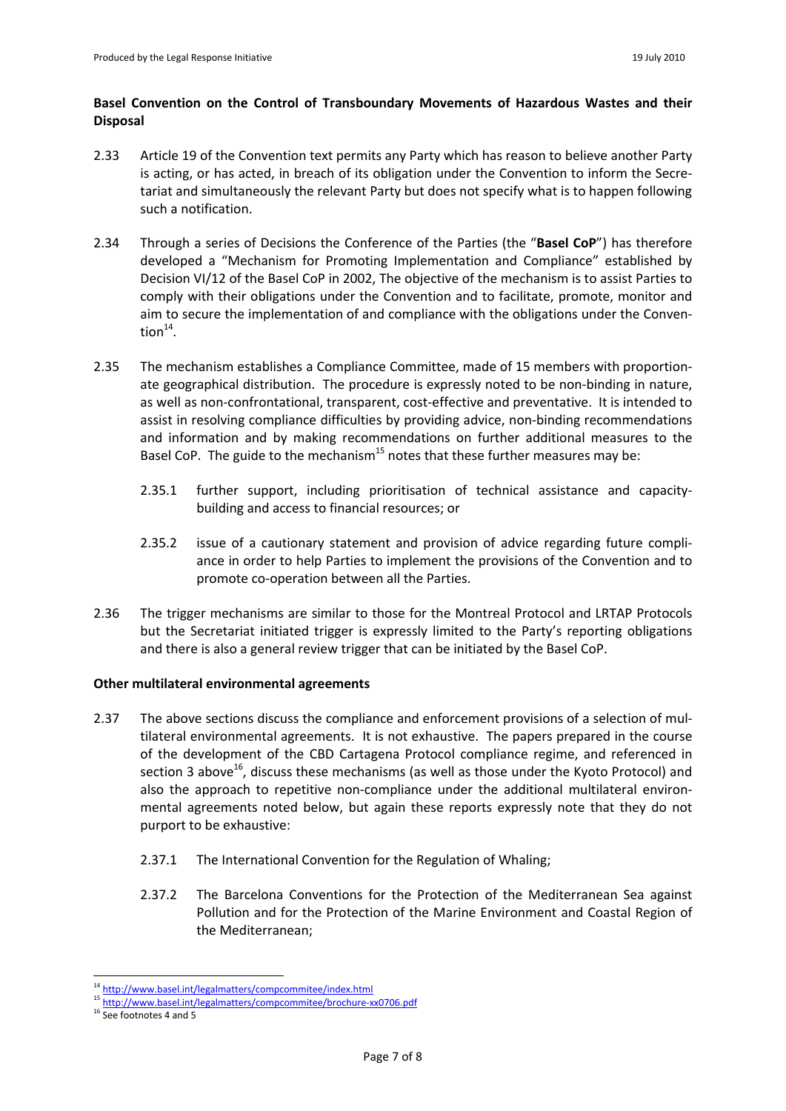# **Basel Convention on the Control of Transboundary Movements of Hazardous Wastes and their Disposal**

- 2.33 Article 19 of the Convention text permits any Party which has reason to believe another Party is acting, or has acted, in breach of its obligation under the Convention to inform the Secretariat and simultaneously the relevant Party but does not specify what is to happen following such a notification.
- 2.34 Through a series of Decisions the Conference of the Parties (the "**Basel CoP**") has therefore developed a "Mechanism for Promoting Implementation and Compliance" established by Decision VI/12 of the Basel CoP in 2002, The objective of the mechanism is to assist Parties to comply with their obligations under the Convention and to facilitate, promote, monitor and aim to secure the implementation of and compliance with the obligations under the Conven- $\textsf{tion}^{\textsf{14}}.$
- 2.35 The mechanism establishes a Compliance Committee, made of 15 members with proportionate geographical distribution. The procedure is expressly noted to be non-binding in nature, as well as non-confrontational, transparent, cost-effective and preventative. It is intended to assist in resolving compliance difficulties by providing advice, non-binding recommendations and information and by making recommendations on further additional measures to the Basel CoP. The guide to the mechanism<sup>15</sup> notes that these further measures may be:
	- 2.35.1 further support, including prioritisation of technical assistance and capacitybuilding and access to financial resources; or
	- 2.35.2 issue of a cautionary statement and provision of advice regarding future compliance in order to help Parties to implement the provisions of the Convention and to promote co-operation between all the Parties.
- 2.36 The trigger mechanisms are similar to those for the Montreal Protocol and LRTAP Protocols but the Secretariat initiated trigger is expressly limited to the Party's reporting obligations and there is also a general review trigger that can be initiated by the Basel CoP.

## **Other multilateral environmental agreements**

- 2.37 The above sections discuss the compliance and enforcement provisions of a selection of multilateral environmental agreements. It is not exhaustive. The papers prepared in the course of the development of the CBD Cartagena Protocol compliance regime, and referenced in section 3 above<sup>16</sup>, discuss these mechanisms (as well as those under the Kyoto Protocol) and also the approach to repetitive non-compliance under the additional multilateral environmental agreements noted below, but again these reports expressly note that they do not purport to be exhaustive:
	- 2.37.1 The International Convention for the Regulation of Whaling;
	- 2.37.2 The Barcelona Conventions for the Protection of the Mediterranean Sea against Pollution and for the Protection of the Marine Environment and Coastal Region of the Mediterranean;

h[ttp://ww](http://www.basel.int/legalmatters/compcommitee/inde)[w.basel.int/legalmatters/compcommitee/inde](www.basel.int/legalmatters/compcommitee/inde)x.html

h[ttp://ww](http://www.basel.int/legalmatters/compco)[w.basel.int/legalmatters/compcom](www.basel.int/legalmatters/compco)mitee/brochure-xx0706.pdf

See footnotes 4 and 5